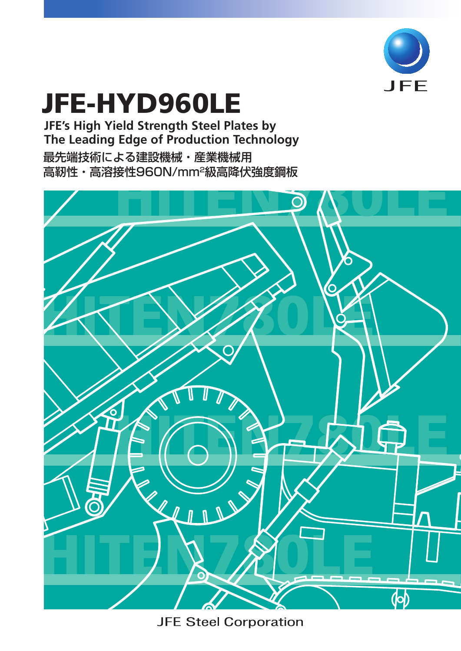

# JFE-HYD960LE

**JFE's High Yield Strength Steel Plates by The Leading Edge of Production Technology** 最先端技術による建設機械・産業機械用 高靭性・高溶接性960N/mm2級高降伏強度鋼板



**JFE Steel Corporation**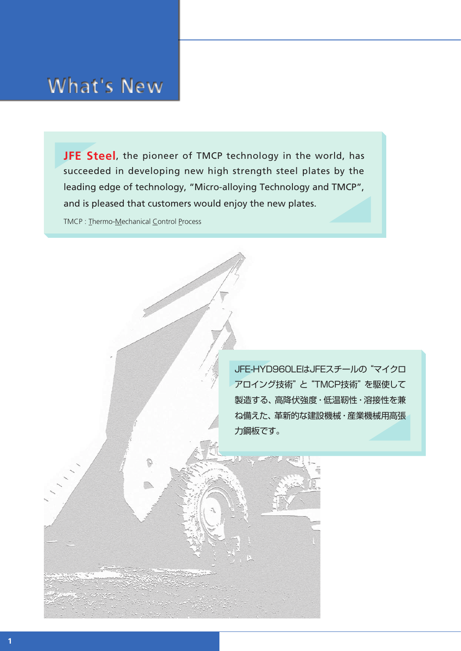## **What's New**

**JFE Steel**, the pioneer of TMCP technology in the world, has succeeded in developing new high strength steel plates by the leading edge of technology, "Micro-alloying Technology and TMCP", and is pleased that customers would enjoy the new plates.

TMCP : Thermo-Mechanical Control Process

đ

JFE-HYD960LEはJFEスチールの"マイクロ アロイング技術"と"TMCP技術"を駆使して 製造する、高降伏強度・低温靭性・溶接性を兼 ね備えた、革新的な建設機械・産業機械用高張 力鋼板です。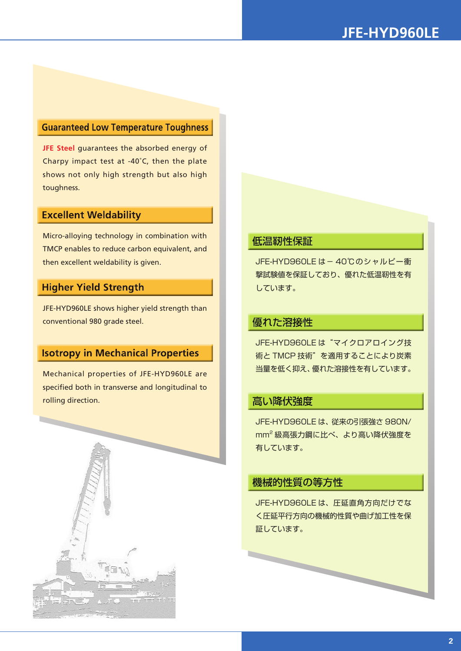### **Guaranteed Low Temperature Toughness**

**JFE Steel** guarantees the absorbed energy of Charpy impact test at -40˚C, then the plate shows not only high strength but also high toughness.

#### **Excellent Weldability**

Micro-alloying technology in combination with TMCP enables to reduce carbon equivalent, and then excellent weldability is given. JFE-HYD960LE は-40℃のシャルピー衝

### **Higher Yield Strength**

JFE-HYD960LE shows higher yield strength than conventional 980 grade steel.

### **Isotropy in Mechanical Properties**

Mechanical properties of JFE-HYD960LE are specified both in transverse and longitudinal to rolling direction.



### 低温靭性保証

撃試験値を保証しており、優れた低温靭性を有 しています。

### 優れた溶接性

JFE-HYD960LE は"マイクロアロイング技 術と TMCP 技術"を適用することにより炭素 当量を低く抑え、優れた溶接性を有しています。

### 高い降伏強度

JFE-HYD960LE は、従来の引張強さ 980N/ mm<sup>2</sup> 級高張力鋼に比べ、より高い降伏強度を 有しています。

### 機械的性質の等方性

JFE-HYD960LE は、圧延直角方向だけでな く圧延平行方向の機械的性質や曲げ加工性を保 証しています。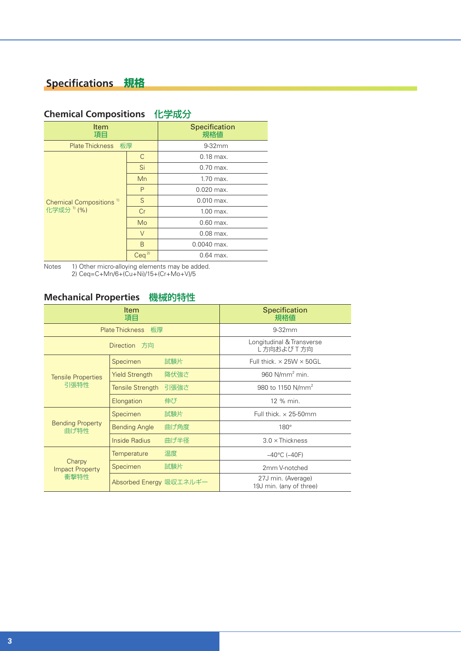### **Specifications 規格**

| <b>Item</b>                                                   |                  | Specification |  |
|---------------------------------------------------------------|------------------|---------------|--|
| 項目                                                            |                  | 規格値           |  |
| Plate Thickness 板厚                                            |                  | $9-32mm$      |  |
| Chemical Compositions <sup>1)</sup><br>化学成分 <sup>1)</sup> (%) | C                | $0.18$ max.   |  |
|                                                               | Si               | $0.70$ max.   |  |
|                                                               | Mn               | 1.70 max.     |  |
|                                                               | P                | $0.020$ max.  |  |
|                                                               | S                | $0.010$ max.  |  |
|                                                               | Cr               | 1.00 max.     |  |
|                                                               | Mo               | $0.60$ max.   |  |
|                                                               | $\vee$           | $0.08$ max.   |  |
|                                                               | B                | $0.0040$ max. |  |
|                                                               | Ceq <sup>2</sup> | $0.64$ max.   |  |

### **Chemical Compositions** 化学成分

Notes 1) Other micro-alloying elements may be added. 2) Ceq=C+Mn/6+(Cu+Ni)/15+(Cr+Mo+V)/5

### **Mechanical Properties** 機械的特性

| Item<br>項目                               |                              |                                        | Specification<br>規格値                          |  |
|------------------------------------------|------------------------------|----------------------------------------|-----------------------------------------------|--|
|                                          | <b>Plate Thickness</b><br>板厚 |                                        | $9-32$ mm                                     |  |
| Direction 方向                             |                              | Longitudinal & Transverse<br>L方向およびT方向 |                                               |  |
| <b>Tensile Properties</b><br>引張特性        | Specimen                     | 試験片                                    | Full thick. $\times$ 25W $\times$ 50GL        |  |
|                                          | <b>Yield Strength</b>        | 降伏強さ                                   | 960 $N/mm2 min.$                              |  |
|                                          | <b>Tensile Strength</b>      | 引張強さ                                   | 980 to 1150 N/mm <sup>2</sup>                 |  |
|                                          | Elongation                   | 伸び                                     | 12 % min.                                     |  |
| <b>Bending Property</b><br>曲げ特性          | Specimen                     | 試験片                                    | Full thick, $\times$ 25-50mm                  |  |
|                                          | <b>Bending Angle</b>         | 曲げ角度                                   | $180^\circ$                                   |  |
|                                          | Inside Radius                | 曲げ半径                                   | $3.0 \times$ Thickness                        |  |
| Charpy<br><b>Impact Property</b><br>衝撃特性 | <b>Temperature</b>           | 温度                                     | $-40^{\circ}$ C ( $-40$ F)                    |  |
|                                          | Specimen                     | 試験片                                    | 2mm V-notched                                 |  |
|                                          | Absorbed Energy 吸収エネルギー      |                                        | 27J min. (Average)<br>19J min. (any of three) |  |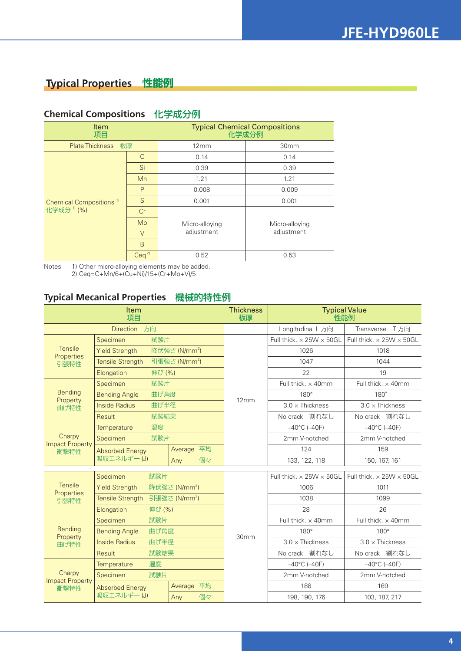### **Typical Properties 性能例**

| Item<br>項目                                                    |                  | <b>Typical Chemical Compositions</b><br>化学成分例 |                              |  |
|---------------------------------------------------------------|------------------|-----------------------------------------------|------------------------------|--|
| 板厚<br><b>Plate Thickness</b>                                  |                  | 12mm                                          | 30 <sub>mm</sub>             |  |
| Chemical Compositions <sup>1)</sup><br>化学成分 <sup>1)</sup> (%) | C                | 0.14                                          | 0.14                         |  |
|                                                               | Si               | 0.39                                          | 0.39                         |  |
|                                                               | Mn               | 1.21                                          | 1.21                         |  |
|                                                               | P                | 0.008                                         | 0.009                        |  |
|                                                               | S                | 0.001                                         | 0.001                        |  |
|                                                               | Cr               |                                               |                              |  |
|                                                               | Mo               | Micro-alloying                                | Micro-alloying<br>adjustment |  |
|                                                               | $\vee$           | adjustment                                    |                              |  |
|                                                               | B                |                                               |                              |  |
|                                                               | Ceq <sup>2</sup> | 0.52                                          | 0.53                         |  |

### **Chemical Compositions** 化学成分例

Notes 1) Other micro-alloying elements may be added. 2) Ceq=C+Mn/6+(Cu+Ni)/15+(Cr+Mo+V)/5

### **Typical Mecanical Properties** 機械的特性例

| Item<br>項目                               |                                                    | <b>Thickness</b><br>板厚    | <b>Typical Value</b><br>性能例 |                                        |                                        |                            |
|------------------------------------------|----------------------------------------------------|---------------------------|-----------------------------|----------------------------------------|----------------------------------------|----------------------------|
| Direction 方向                             |                                                    |                           | Longitudinal L 方向           | Transverse<br>T方向                      |                                        |                            |
|                                          | 試験片<br>Specimen                                    |                           |                             | Full thick, $\times$ 25W $\times$ 50GL | Full thick, $\times$ 25W $\times$ 50GL |                            |
| <b>Tensile</b>                           | 降伏強さ (N/mm <sup>2</sup> )<br><b>Yield Strength</b> |                           |                             | 1026                                   | 1018                                   |                            |
| Properties<br>引張特性                       | <b>Tensile Strength</b>                            |                           | 引張強さ (N/mm <sup>2</sup> )   |                                        | 1047                                   | 1044                       |
| Elongation<br>伸び (%)                     |                                                    |                           |                             | 22                                     | 19                                     |                            |
|                                          | Specimen                                           | 試験片                       |                             |                                        | Full thick. x 40mm                     | Full thick. x 40mm         |
| <b>Bending</b>                           | <b>Bending Angle</b>                               | 曲げ角度                      |                             |                                        | $180^\circ$                            | 180°                       |
| Property<br>曲げ特性                         | <b>Inside Radius</b>                               | 曲げ半径                      |                             | 12mm                                   | $3.0 \times$ Thickness                 | $3.0 \times$ Thickness     |
|                                          | Result                                             | 試験結果                      |                             |                                        | No crack 割れなし                          | No crack 割れなし              |
|                                          | Temperature                                        | 温度                        |                             |                                        | $-40^{\circ}$ C ( $-40$ F)             | $-40^{\circ}$ C ( $-40$ F) |
| Charpy                                   | Specimen                                           | 試験片                       |                             |                                        | 2mm V-notched                          | 2mm V-notched              |
| <b>Impact Property</b><br>衝撃特性           | <b>Absorbed Energy</b>                             |                           | Average 平均                  |                                        | 124                                    | 159                        |
| 吸収エネルギー(J)                               |                                                    | 個々<br>Any                 |                             | 133, 122, 118                          | 150, 167, 161                          |                            |
|                                          | 試験片<br>Specimen                                    |                           |                             | Full thick, $\times$ 25W $\times$ 50GL | Full thick, $\times$ 25W $\times$ 50GL |                            |
| <b>Tensile</b>                           | <b>Yield Strength</b>                              | 降伏強さ (N/mm <sup>2</sup> ) |                             |                                        | 1006                                   | 1011                       |
| Properties<br>引張特性                       | <b>Tensile Strength</b>                            | 引張強さ (N/mm <sup>2</sup> ) |                             |                                        | 1038                                   | 1099                       |
|                                          | Elongation<br>伸び (%)                               |                           |                             | 28                                     | 26                                     |                            |
|                                          | 試験片<br>Specimen                                    |                           |                             | Full thick. x 40mm                     | Full thick. x 40mm                     |                            |
| <b>Bending</b><br>Property<br>曲げ特性       | <b>Bending Angle</b>                               | 曲げ角度                      |                             | 30mm                                   | $180^\circ$                            | $180^\circ$                |
|                                          | <b>Inside Radius</b>                               | 曲げ半径                      |                             |                                        | $3.0 \times$ Thickness                 | $3.0 \times$ Thickness     |
|                                          | 試験結果<br>Result                                     |                           |                             | No crack 割れなし                          | No crack 割れなし                          |                            |
|                                          | 温度<br>Temperature                                  |                           |                             | $-40^{\circ}$ C ( $-40$ F)             | $-40^{\circ}$ C ( $-40$ F)             |                            |
| Charpy<br><b>Impact Property</b><br>衝撃特性 | Specimen<br>試験片                                    |                           |                             | 2mm V-notched                          | 2mm V-notched                          |                            |
|                                          | <b>Absorbed Energy</b><br>吸収エネルギー(J)               |                           | Average 平均                  |                                        | 188                                    | 169                        |
|                                          |                                                    |                           | 個々<br>Any                   |                                        | 198, 190, 176                          | 103, 187, 217              |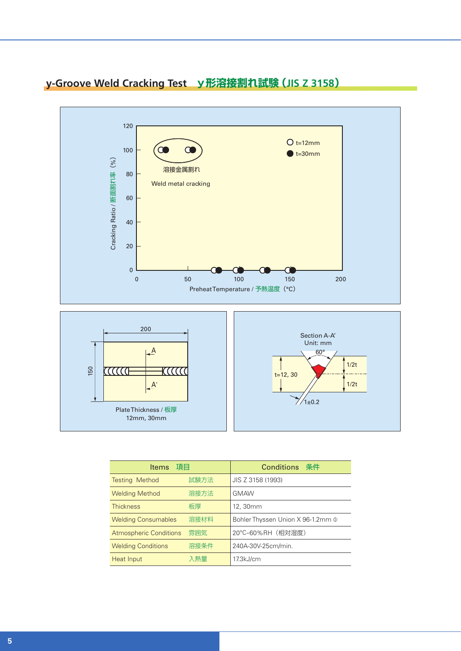

### **y-Groove Weld Cracking Test y形溶接割れ試験(JIS Z 3158)**

| Items 項目                      |      | <b>Conditions 条件</b>                   |
|-------------------------------|------|----------------------------------------|
| <b>Testing Method</b>         | 試験方法 | JIS Z 3158 (1993)                      |
| <b>Welding Method</b>         | 溶接方法 | <b>GMAW</b>                            |
| <b>Thickness</b>              | 板厚   | 12, 30mm                               |
| <b>Welding Consumables</b>    | 溶接材料 | Bohler Thyssen Union X 96-1.2mm $\Phi$ |
| <b>Atmospheric Conditions</b> | 雰囲気  | 20°C-60%RH (相対湿度)                      |
| <b>Welding Conditions</b>     | 溶接条件 | 240A-30V-25cm/min.                     |
| Heat Input                    | 入熱量  | 17.3kJ/cm                              |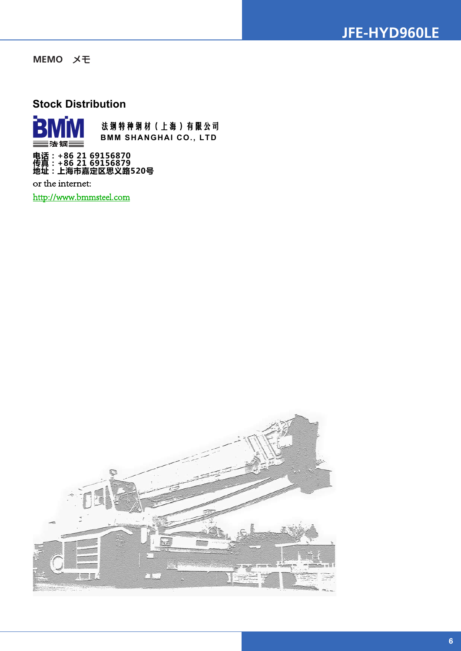

**MEMO** メモ

### **Stock Distribution**



or the internet:

http://www.bmmsteel.com